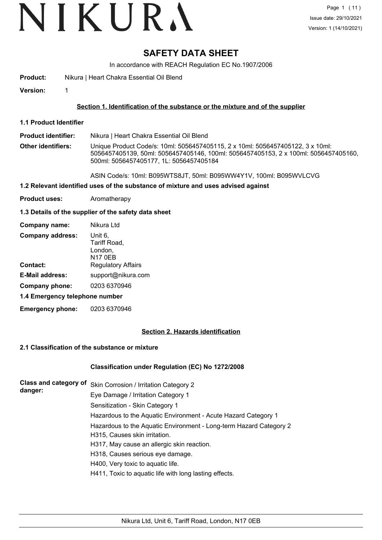# VIKURA

# **SAFETY DATA SHEET**

In accordance with REACH Regulation EC No.1907/2006

**Product:** Nikura | Heart Chakra Essential Oil Blend

**Version:** 1

### **Section 1. Identification of the substance or the mixture and of the supplier**

**1.1 Product Identifier**

**Product identifier:** Nikura | Heart Chakra Essential Oil Blend

**Other identifiers:** Unique Product Code/s: 10ml: 5056457405115, 2 x 10ml: 5056457405122, 3 x 10ml: 5056457405139, 50ml: 5056457405146, 100ml: 5056457405153, 2 x 100ml: 5056457405160, 500ml: 5056457405177, 1L: 5056457405184

ASIN Code/s: 10ml: B095WTS8JT, 50ml: B095WW4Y1V, 100ml: B095WVLCVG

#### **1.2 Relevant identified uses of the substance of mixture and uses advised against**

**Product uses:** Aromatherapy

#### **1.3 Details of the supplier of the safety data sheet**

| Company name:                  | Nikura Ltd                                           |  |
|--------------------------------|------------------------------------------------------|--|
| <b>Company address:</b>        | Unit 6,<br>Tariff Road,<br>London,<br><b>N17 0EB</b> |  |
| <b>Contact:</b>                | <b>Regulatory Affairs</b>                            |  |
| <b>E-Mail address:</b>         | support@nikura.com                                   |  |
| Company phone:                 | 0203 6370946                                         |  |
| 1.4 Emergency telephone number |                                                      |  |

**Emergency phone:** 0203 6370946

#### **Section 2. Hazards identification**

#### **2.1 Classification of the substance or mixture**

#### **Classification under Regulation (EC) No 1272/2008**

| <b>Class and category of</b> | Skin Corrosion / Irritation Category 2                             |
|------------------------------|--------------------------------------------------------------------|
| danger:                      | Eye Damage / Irritation Category 1                                 |
|                              | Sensitization - Skin Category 1                                    |
|                              | Hazardous to the Aquatic Environment - Acute Hazard Category 1     |
|                              | Hazardous to the Aquatic Environment - Long-term Hazard Category 2 |
|                              | H315, Causes skin irritation.                                      |
|                              | H317, May cause an allergic skin reaction.                         |
|                              | H318, Causes serious eye damage.                                   |
|                              | H400, Very toxic to aquatic life.                                  |
|                              | H411, Toxic to aquatic life with long lasting effects.             |
|                              |                                                                    |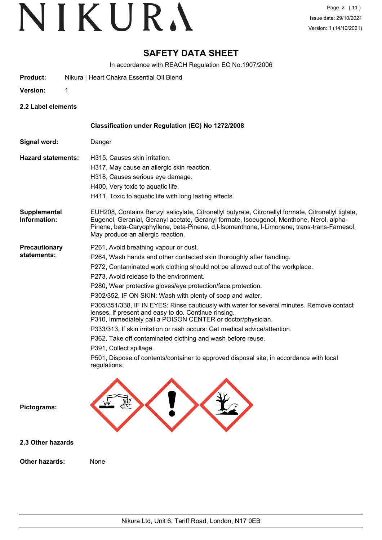## **SAFETY DATA SHEET**

In accordance with REACH Regulation EC No.1907/2006

- **Product:** Nikura | Heart Chakra Essential Oil Blend
- **Version:** 1

**2.2 Label elements**

|                                     | Classification under Regulation (EC) No 1272/2008                                                                                                                                                                                                                                                                                                                                                                                                                                                                                                                                                                                                                                                                                                                                                                                                                            |
|-------------------------------------|------------------------------------------------------------------------------------------------------------------------------------------------------------------------------------------------------------------------------------------------------------------------------------------------------------------------------------------------------------------------------------------------------------------------------------------------------------------------------------------------------------------------------------------------------------------------------------------------------------------------------------------------------------------------------------------------------------------------------------------------------------------------------------------------------------------------------------------------------------------------------|
| Signal word:                        | Danger                                                                                                                                                                                                                                                                                                                                                                                                                                                                                                                                                                                                                                                                                                                                                                                                                                                                       |
| <b>Hazard statements:</b>           | H315, Causes skin irritation.<br>H317, May cause an allergic skin reaction.<br>H318, Causes serious eye damage.<br>H400, Very toxic to aquatic life.<br>H411, Toxic to aquatic life with long lasting effects.                                                                                                                                                                                                                                                                                                                                                                                                                                                                                                                                                                                                                                                               |
| <b>Supplemental</b><br>Information: | EUH208, Contains Benzyl salicylate, Citronellyl butyrate, Citronellyl formate, Citronellyl tiglate,<br>Eugenol, Geranial, Geranyl acetate, Geranyl formate, Isoeugenol, Menthone, Nerol, alpha-<br>Pinene, beta-Caryophyllene, beta-Pinene, d,I-Isomenthone, I-Limonene, trans-trans-Farnesol.<br>May produce an allergic reaction.                                                                                                                                                                                                                                                                                                                                                                                                                                                                                                                                          |
| <b>Precautionary</b><br>statements: | P261, Avoid breathing vapour or dust.<br>P264, Wash hands and other contacted skin thoroughly after handling.<br>P272, Contaminated work clothing should not be allowed out of the workplace.<br>P273, Avoid release to the environment.<br>P280, Wear protective gloves/eye protection/face protection.<br>P302/352, IF ON SKIN: Wash with plenty of soap and water.<br>P305/351/338, IF IN EYES: Rinse cautiously with water for several minutes. Remove contact<br>lenses, if present and easy to do. Continue rinsing.<br>P310, Immediately call a POISON CENTER or doctor/physician.<br>P333/313, If skin irritation or rash occurs: Get medical advice/attention.<br>P362, Take off contaminated clothing and wash before reuse.<br>P391, Collect spillage.<br>P501, Dispose of contents/container to approved disposal site, in accordance with local<br>regulations. |
| Pictograms:                         |                                                                                                                                                                                                                                                                                                                                                                                                                                                                                                                                                                                                                                                                                                                                                                                                                                                                              |
| 2.3 Other hazards                   |                                                                                                                                                                                                                                                                                                                                                                                                                                                                                                                                                                                                                                                                                                                                                                                                                                                                              |
| Other hazards:                      | None                                                                                                                                                                                                                                                                                                                                                                                                                                                                                                                                                                                                                                                                                                                                                                                                                                                                         |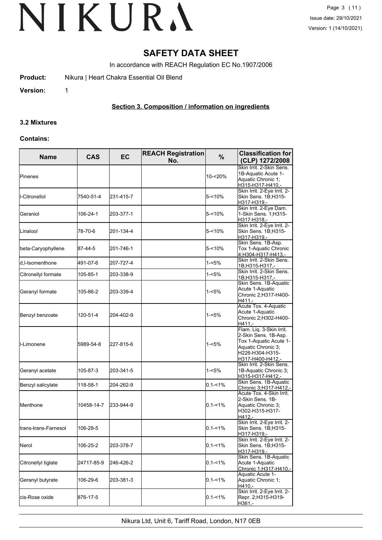## **SAFETY DATA SHEET**

In accordance with REACH Regulation EC No.1907/2006

**Product:** Nikura | Heart Chakra Essential Oil Blend

**Version:** 1

### **Section 3. Composition / information on ingredients**

#### **3.2 Mixtures**

#### **Contains:**

| <b>Name</b>                   | <b>CAS</b> | <b>EC</b> | <b>REACH Registration</b><br>No. | %           | <b>Classification for</b><br>(CLP) 1272/2008                                                                                            |
|-------------------------------|------------|-----------|----------------------------------|-------------|-----------------------------------------------------------------------------------------------------------------------------------------|
| Pinenes                       |            |           |                                  | 10-<20%     | Skin Irrit. 2-Skin Sens.<br>1B-Aquatic Acute 1-<br>Aquatic Chronic 1;<br>H315-H317-H410,-                                               |
| -Citronellol                  | 7540-51-4  | 231-415-7 |                                  | $5 - 10%$   | Skin Irrit. 2-Eye Irrit. 2-<br>Skin Sens. 1B;H315-<br>H317-H319.-                                                                       |
| Geraniol                      | 106-24-1   | 203-377-1 |                                  | $5 - 10%$   | Skin Irrit. 2-Eye Dam.<br>1-Skin Sens. 1;H315-<br>H317-H318,-                                                                           |
| Linalool                      | 78-70-6    | 201-134-4 |                                  | $5 - 10%$   | Skin Irrit. 2-Eye Irrit. 2-<br>Skin Sens. 1B;H315-<br>H317-H319,-                                                                       |
| beta-Caryophyllene            | 87-44-5    | 201-746-1 |                                  | $5 - 10%$   | Skin Sens. 1B-Asp.<br>Tox 1-Aquatic Chronic<br>4;H304-H317-H413,-                                                                       |
| d,I-Isomenthone               | 491-07-6   | 207-727-4 |                                  | 1-<5%       | Skin Irrit. 2-Skin Sens.<br>1B;H315-H317,-                                                                                              |
| Citronellyl formate           | 105-85-1   | 203-338-9 |                                  | 1-<5%       | Skin Irrit. 2-Skin Sens.<br>1B;H315-H317,-                                                                                              |
| Geranyl formate               | 105-86-2   | 203-339-4 |                                  | $1 - 5%$    | Skin Sens. 1B-Aquatic<br>Acute 1-Aquatic<br>Chronic 2; H317-H400-<br>$H411. -$                                                          |
| Benzyl benzoate               | 120-51-4   | 204-402-9 |                                  | $1 - 5%$    | Acute Tox. 4-Aquatic<br>Acute 1-Aquatic<br>Chronic 2;H302-H400-<br>H411,-                                                               |
| ll-Limonene                   | 5989-54-8  | 227-815-6 |                                  | $1 - 5%$    | Flam. Liq. 3-Skin Irrit.<br>2-Skin Sens. 1B-Asp.<br>Tox 1-Aquatic Acute 1-<br>Aquatic Chronic 3;<br>H226-H304-H315-<br>H317-H400-H412,- |
| Geranyl acetate               | 105-87-3   | 203-341-5 |                                  | $1 - 5%$    | Skin Irrit. 2-Skin Sens.<br>1B-Aquatic Chronic 3;<br>H315-H317-H412,-                                                                   |
| Benzyl salicylate             | 118-58-1   | 204-262-9 |                                  | $0.1 - 1\%$ | Skin Sens. 1B-Aquatic<br><u> Chronic 3;H317-H412,-</u>                                                                                  |
| <b>I</b> Menthone             | 10458-14-7 | 233-944-9 |                                  | $0.1 - 1\%$ | Acute Tox. 4-Skin Irrit.<br>2-Skin Sens. 1B-<br>Aquatic Chronic 3;<br>H302-H315-H317-<br>H412,-                                         |
| <b>I</b> trans-trans-Farnesol | 106-28-5   |           |                                  | $0.1 - 1\%$ | Skin Irrit. 2-Eye Irrit. 2-<br>Skin Sens. 1B;H315-<br>H317-H319,-                                                                       |
| Nerol                         | 106-25-2   | 203-378-7 |                                  | $0.1 - 1\%$ | Skin Irrit. 2-Eye Irrit. 2-<br>Skin Sens. 1B;H315-<br>H317-H319.-                                                                       |
| Citronellyl tiglate           | 24717-85-9 | 246-426-2 |                                  | $0.1 - 1\%$ | Skin Sens. 1B-Aquatic<br>Acute 1-Aquatic<br>Chronic 1;H317-H410,-                                                                       |
| Geranyl butyrate              | 106-29-6   | 203-381-3 |                                  | $0.1 - 1\%$ | Aquatic Acute 1-<br>Aquatic Chronic 1;<br>H410,-                                                                                        |
| cis-Rose oxide                | 876-17-5   |           |                                  | $0.1 - 1\%$ | Skin Irrit. 2-Eye Irrit. 2-<br>Repr. 2; H315-H319-<br>H361,-                                                                            |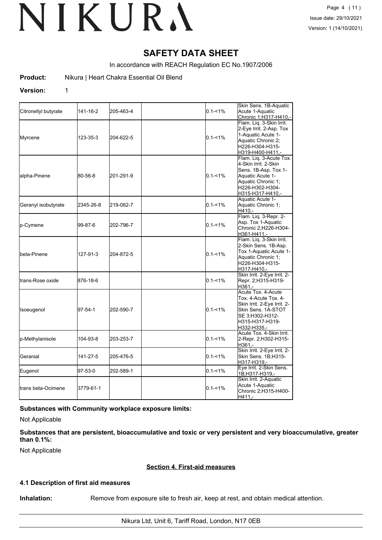## **SAFETY DATA SHEET**

In accordance with REACH Regulation EC No.1907/2006

**Product:** Nikura | Heart Chakra Essential Oil Blend

#### **Version:** 1

| Citronellyl butyrate      | 141-16-2  | 205-463-4 | $0.1 - 1\%$ | Skin Sens. 1B-Aquatic<br>Acute 1-Aquatic<br>Chronic 1;H317-H410,-                                                                                        |
|---------------------------|-----------|-----------|-------------|----------------------------------------------------------------------------------------------------------------------------------------------------------|
| Myrcene                   | 123-35-3  | 204-622-5 | $0.1 - 1\%$ | Flam. Liq. 3-Skin Irrit.<br>2-Eye Irrit. 2-Asp. Tox<br>1-Aquatic Acute 1-<br>Aquatic Chronic 2;<br>H226-H304-H315-<br>H319-H400-H411.-                   |
| alpha-Pinene              | 80-56-8   | 201-291-9 | $0.1 - 1\%$ | Flam. Liq. 3-Acute Tox.<br>4-Skin Irrit. 2-Skin<br>Sens. 1B-Asp. Tox 1-<br>Aquatic Acute 1-<br>Aquatic Chronic 1;<br>H226-H302-H304-<br>H315-H317-H410,- |
| Geranyl isobutyrate       | 2345-26-8 | 219-062-7 | $0.1 - 1\%$ | Aquatic Acute 1-<br>Aquatic Chronic 1;<br>H410.-                                                                                                         |
| p-Cymene                  | 99-87-6   | 202-796-7 | $0.1 - 1\%$ | Flam. Liq. 3-Repr. 2-<br>Asp. Tox 1-Aquatic<br>Chronic 2;H226-H304-<br>H361-H411,-                                                                       |
| lbeta-Pinene              | 127-91-3  | 204-872-5 | $0.1 - 1\%$ | Flam. Liq. 3-Skin Irrit.<br>2-Skin Sens. 1B-Asp.<br>Tox 1-Aquatic Acute 1-<br>Aquatic Chronic 1:<br>H226-H304-H315-<br>H317-H410,-                       |
| <b>I</b> trans-Rose oxide | 876-18-6  |           | $0.1 - 1\%$ | Skin Irrit. 2-Eye Irrit. 2-<br>Repr. 2;H315-H319-<br>$H361 -$                                                                                            |
| Isoeugenol                | 97-54-1   | 202-590-7 | $0.1 - 1%$  | Acute Tox. 4-Acute<br>Tox. 4-Acute Tox. 4-<br>Skin Irrit. 2-Eye Irrit. 2-<br>Skin Sens. 1A-STOT<br>SE 3:H302-H312-<br>H315-H317-H319-<br>H332-H335.-     |
| p-Methylanisole           | 104-93-8  | 203-253-7 | $0.1 - 1\%$ | Acute Tox. 4-Skin Irrit.<br>2-Repr. 2;H302-H315-<br>H361,-                                                                                               |
| Geranial                  | 141-27-5  | 205-476-5 | $0.1 - 1\%$ | Skin Irrit. 2-Eye Irrit. 2-<br>Skin Sens. 1B;H315-<br>H317-H319,-                                                                                        |
| Eugenol                   | 97-53-0   | 202-589-1 | $0.1 - 1\%$ | Eye Irrit. 2-Skin Sens.<br>1B;H317-H319,-                                                                                                                |
| ltrans beta-Ocimene       | 3779-61-1 |           | $0.1 - 1%$  | Skin Irrit. 2-Aquatic<br>Acute 1-Aquatic<br>Chronic 2;H315-H400-<br>H411.-                                                                               |

**Substances with Community workplace exposure limits:**

Not Applicable

**Substances that are persistent, bioaccumulative and toxic or very persistent and very bioaccumulative, greater than 0.1%:**

Not Applicable

#### **Section 4. First-aid measures**

### **4.1 Description of first aid measures**

**Inhalation:** Remove from exposure site to fresh air, keep at rest, and obtain medical attention.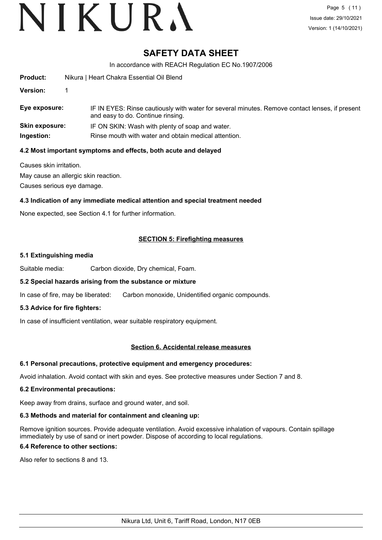## **SAFETY DATA SHEET**

In accordance with REACH Regulation EC No.1907/2006

| <b>Product:</b>       | Nikura   Heart Chakra Essential Oil Blend                                                                                           |
|-----------------------|-------------------------------------------------------------------------------------------------------------------------------------|
| <b>Version:</b>       |                                                                                                                                     |
| Eye exposure:         | IF IN EYES: Rinse cautiously with water for several minutes. Remove contact lenses, if present<br>and easy to do. Continue rinsing. |
| <b>Skin exposure:</b> | IF ON SKIN: Wash with plenty of soap and water.                                                                                     |
| Ingestion:            | Rinse mouth with water and obtain medical attention.                                                                                |

#### **4.2 Most important symptoms and effects, both acute and delayed**

Causes skin irritation.

May cause an allergic skin reaction.

Causes serious eye damage.

### **4.3 Indication of any immediate medical attention and special treatment needed**

None expected, see Section 4.1 for further information.

### **SECTION 5: Firefighting measures**

#### **5.1 Extinguishing media**

Suitable media: Carbon dioxide, Dry chemical, Foam.

#### **5.2 Special hazards arising from the substance or mixture**

In case of fire, may be liberated: Carbon monoxide, Unidentified organic compounds.

#### **5.3 Advice for fire fighters:**

In case of insufficient ventilation, wear suitable respiratory equipment.

#### **Section 6. Accidental release measures**

#### **6.1 Personal precautions, protective equipment and emergency procedures:**

Avoid inhalation. Avoid contact with skin and eyes. See protective measures under Section 7 and 8.

#### **6.2 Environmental precautions:**

Keep away from drains, surface and ground water, and soil.

#### **6.3 Methods and material for containment and cleaning up:**

Remove ignition sources. Provide adequate ventilation. Avoid excessive inhalation of vapours. Contain spillage immediately by use of sand or inert powder. Dispose of according to local regulations.

#### **6.4 Reference to other sections:**

Also refer to sections 8 and 13.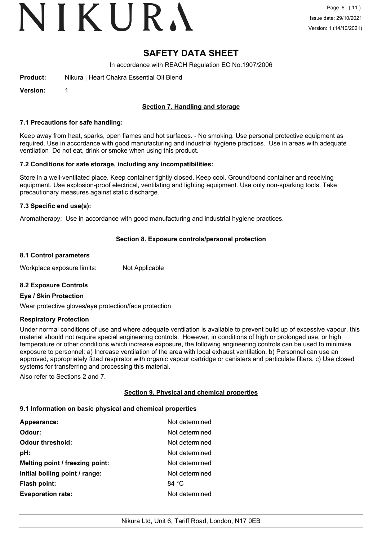# VIKURA

## **SAFETY DATA SHEET**

In accordance with REACH Regulation EC No.1907/2006

**Product:** Nikura | Heart Chakra Essential Oil Blend

**Version:** 1

## **Section 7. Handling and storage**

#### **7.1 Precautions for safe handling:**

Keep away from heat, sparks, open flames and hot surfaces. - No smoking. Use personal protective equipment as required. Use in accordance with good manufacturing and industrial hygiene practices. Use in areas with adequate ventilation Do not eat, drink or smoke when using this product.

#### **7.2 Conditions for safe storage, including any incompatibilities:**

Store in a well-ventilated place. Keep container tightly closed. Keep cool. Ground/bond container and receiving equipment. Use explosion-proof electrical, ventilating and lighting equipment. Use only non-sparking tools. Take precautionary measures against static discharge.

#### **7.3 Specific end use(s):**

Aromatherapy: Use in accordance with good manufacturing and industrial hygiene practices.

#### **Section 8. Exposure controls/personal protection**

#### **8.1 Control parameters**

Workplace exposure limits: Not Applicable

#### **8.2 Exposure Controls**

#### **Eye / Skin Protection**

Wear protective gloves/eye protection/face protection

#### **Respiratory Protection**

Under normal conditions of use and where adequate ventilation is available to prevent build up of excessive vapour, this material should not require special engineering controls. However, in conditions of high or prolonged use, or high temperature or other conditions which increase exposure, the following engineering controls can be used to minimise exposure to personnel: a) Increase ventilation of the area with local exhaust ventilation. b) Personnel can use an approved, appropriately fitted respirator with organic vapour cartridge or canisters and particulate filters. c) Use closed systems for transferring and processing this material.

Also refer to Sections 2 and 7.

#### **Section 9. Physical and chemical properties**

#### **9.1 Information on basic physical and chemical properties**

| Appearance:                     | Not determined  |
|---------------------------------|-----------------|
| Odour:                          | Not determined  |
| <b>Odour threshold:</b>         | Not determined  |
| pH:                             | Not determined  |
| Melting point / freezing point: | Not determined  |
| Initial boiling point / range:  | Not determined  |
| <b>Flash point:</b>             | 84 $^{\circ}$ C |
| <b>Evaporation rate:</b>        | Not determined  |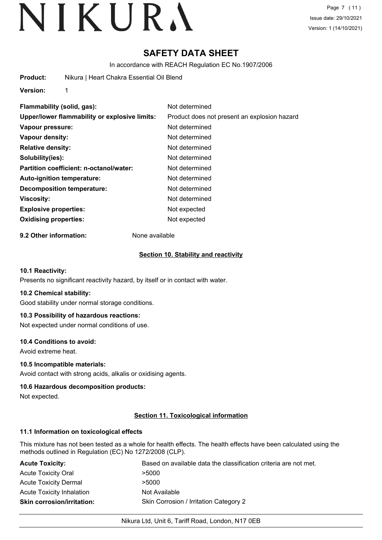# **SAFETY DATA SHEET**

In accordance with REACH Regulation EC No.1907/2006

**Product:** Nikura | Heart Chakra Essential Oil Blend

**Version:** 1

| Flammability (solid, gas):                    | Not determined                               |
|-----------------------------------------------|----------------------------------------------|
| Upper/lower flammability or explosive limits: | Product does not present an explosion hazard |
| Vapour pressure:                              | Not determined                               |
| Vapour density:                               | Not determined                               |
| <b>Relative density:</b>                      | Not determined                               |
| Solubility(ies):                              | Not determined                               |
| Partition coefficient: n-octanol/water:       | Not determined                               |
| Auto-ignition temperature:                    | Not determined                               |
| Decomposition temperature:                    | Not determined                               |
| Viscosity:                                    | Not determined                               |
| <b>Explosive properties:</b>                  | Not expected                                 |
| <b>Oxidising properties:</b>                  | Not expected                                 |
|                                               |                                              |

**9.2 Other information:** None available

### **Section 10. Stability and reactivity**

#### **10.1 Reactivity:**

Presents no significant reactivity hazard, by itself or in contact with water.

#### **10.2 Chemical stability:**

Good stability under normal storage conditions.

### **10.3 Possibility of hazardous reactions:**

Not expected under normal conditions of use.

#### **10.4 Conditions to avoid:**

Avoid extreme heat.

#### **10.5 Incompatible materials:**

Avoid contact with strong acids, alkalis or oxidising agents.

#### **10.6 Hazardous decomposition products:**

Not expected.

#### **Section 11. Toxicological information**

#### **11.1 Information on toxicological effects**

This mixture has not been tested as a whole for health effects. The health effects have been calculated using the methods outlined in Regulation (EC) No 1272/2008 (CLP).

| <b>Acute Toxicity:</b>            | Based on available data the classification criteria are not met. |
|-----------------------------------|------------------------------------------------------------------|
| <b>Acute Toxicity Oral</b>        | >5000                                                            |
| <b>Acute Toxicity Dermal</b>      | >5000                                                            |
| <b>Acute Toxicity Inhalation</b>  | Not Available                                                    |
| <b>Skin corrosion/irritation:</b> | Skin Corrosion / Irritation Category 2                           |

#### Nikura Ltd, Unit 6, Tariff Road, London, N17 0EB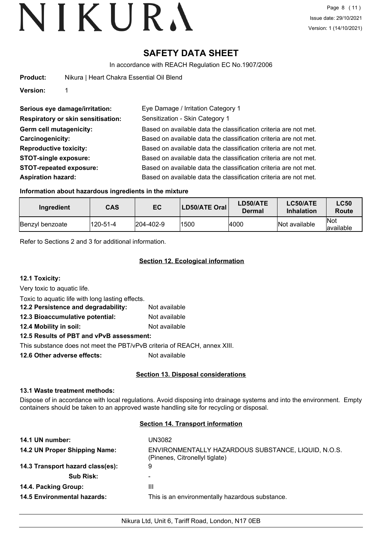# **SAFETY DATA SHEET**

In accordance with REACH Regulation EC No.1907/2006

| Product: |  | Nikura   Heart Chakra Essential Oil Blend |  |  |
|----------|--|-------------------------------------------|--|--|
|----------|--|-------------------------------------------|--|--|

**Version:** 1

| Serious eye damage/irritation:            | Eye Damage / Irritation Category 1                               |
|-------------------------------------------|------------------------------------------------------------------|
| <b>Respiratory or skin sensitisation:</b> | Sensitization - Skin Category 1                                  |
| Germ cell mutagenicity:                   | Based on available data the classification criteria are not met. |
| Carcinogenicity:                          | Based on available data the classification criteria are not met. |
| <b>Reproductive toxicity:</b>             | Based on available data the classification criteria are not met. |
| <b>STOT-single exposure:</b>              | Based on available data the classification criteria are not met. |
| <b>STOT-repeated exposure:</b>            | Based on available data the classification criteria are not met. |
| <b>Aspiration hazard:</b>                 | Based on available data the classification criteria are not met. |

### **Information about hazardous ingredients in the mixture**

| Ingredient      | <b>CAS</b> | EC                | <b>LD50/ATE Oral</b> | LD50/ATE<br>Dermal | LC50/ATE<br><b>Inhalation</b> | <b>LC50</b><br>Route     |
|-----------------|------------|-------------------|----------------------|--------------------|-------------------------------|--------------------------|
| Benzyl benzoate | 120-51-4   | $ 204 - 402 - 9 $ | 1500                 | 4000               | Not available                 | <b>Not</b><br>lavailable |

Refer to Sections 2 and 3 for additional information.

## **Section 12. Ecological information**

**12.1 Toxicity:**

Very toxic to aquatic life.

Toxic to aquatic life with long lasting effects.

| 12.2 Persistence and degradability: | Not available |
|-------------------------------------|---------------|
| 12.3 Bioaccumulative potential:     | Not available |
| 12.4 Mobility in soil:              | Not available |
|                                     |               |

**12.5 Results of PBT and vPvB assessment:**

This substance does not meet the PBT/vPvB criteria of REACH, annex XIII.

**12.6 Other adverse effects:** Not available

## **Section 13. Disposal considerations**

#### **13.1 Waste treatment methods:**

Dispose of in accordance with local regulations. Avoid disposing into drainage systems and into the environment. Empty containers should be taken to an approved waste handling site for recycling or disposal.

#### **Section 14. Transport information**

| 14.1 UN number:                    | UN3082                                                                                |
|------------------------------------|---------------------------------------------------------------------------------------|
| 14.2 UN Proper Shipping Name:      | ENVIRONMENTALLY HAZARDOUS SUBSTANCE, LIQUID, N.O.S.<br>(Pinenes, Citronellyl tiglate) |
| 14.3 Transport hazard class(es):   | 9                                                                                     |
| <b>Sub Risk:</b>                   | ۰                                                                                     |
| 14.4. Packing Group:               | Ш                                                                                     |
| <b>14.5 Environmental hazards:</b> | This is an environmentally hazardous substance.                                       |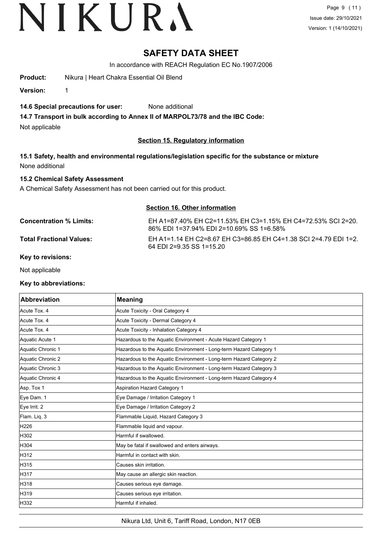Page 9 (11) Issue date: 29/10/2021 Version: 1 (14/10/2021)

## **SAFETY DATA SHEET**

In accordance with REACH Regulation EC No.1907/2006

**Product:** Nikura | Heart Chakra Essential Oil Blend

**Version:** 1

### **14.6 Special precautions for user:** None additional

**14.7 Transport in bulk according to Annex II of MARPOL73/78 and the IBC Code:**

Not applicable

## **Section 15. Regulatory information**

**15.1 Safety, health and environmental regulations/legislation specific for the substance or mixture** None additional

### **15.2 Chemical Safety Assessment**

A Chemical Safety Assessment has not been carried out for this product.

### **Section 16. Other information**

| <b>Concentration % Limits:</b>  | EH A1=87.40% EH C2=11.53% EH C3=1.15% EH C4=72.53% SCI 2=20.<br>86% EDI 1=37.94% EDI 2=10.69% SS 1=6.58% |
|---------------------------------|----------------------------------------------------------------------------------------------------------|
| <b>Total Fractional Values:</b> | EH A1=1.14 EH C2=8.67 EH C3=86.85 EH C4=1.38 SCI 2=4.79 EDI 1=2.<br>64 EDI 2=9.35 SS 1=15.20             |

**Key to revisions:**

Not applicable

#### **Key to abbreviations:**

| <b>Abbreviation</b> | <b>Meaning</b>                                                     |
|---------------------|--------------------------------------------------------------------|
| Acute Tox. 4        | Acute Toxicity - Oral Category 4                                   |
| Acute Tox. 4        | Acute Toxicity - Dermal Category 4                                 |
| Acute Tox. 4        | Acute Toxicity - Inhalation Category 4                             |
| Aquatic Acute 1     | Hazardous to the Aquatic Environment - Acute Hazard Category 1     |
| Aquatic Chronic 1   | Hazardous to the Aquatic Environment - Long-term Hazard Category 1 |
| Aquatic Chronic 2   | Hazardous to the Aquatic Environment - Long-term Hazard Category 2 |
| Aquatic Chronic 3   | Hazardous to the Aquatic Environment - Long-term Hazard Category 3 |
| Aquatic Chronic 4   | Hazardous to the Aquatic Environment - Long-term Hazard Category 4 |
| Asp. Tox 1          | <b>Aspiration Hazard Category 1</b>                                |
| Eye Dam. 1          | Eye Damage / Irritation Category 1                                 |
| Eye Irrit. 2        | Eye Damage / Irritation Category 2                                 |
| Flam. Liq. 3        | Flammable Liquid, Hazard Category 3                                |
| H226                | Flammable liquid and vapour.                                       |
| H302                | Harmful if swallowed.                                              |
| H304                | May be fatal if swallowed and enters airways.                      |
| H312                | Harmful in contact with skin.                                      |
| H315                | Causes skin irritation.                                            |
| <b>H317</b>         | May cause an allergic skin reaction.                               |
| H318                | Causes serious eye damage.                                         |
| H319                | Causes serious eye irritation.                                     |
| H332                | Harmful if inhaled.                                                |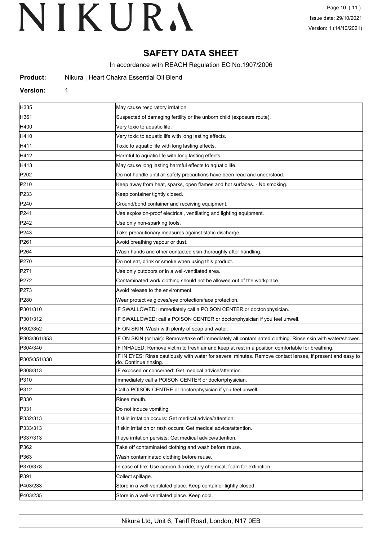# **SAFETY DATA SHEET**

In accordance with REACH Regulation EC No.1907/2006

| Product: |  |  |  | Nikura   Heart Chakra Essential Oil Blend |  |  |
|----------|--|--|--|-------------------------------------------|--|--|
|----------|--|--|--|-------------------------------------------|--|--|

#### **Version:** 1

| H335             | May cause respiratory irritation.                                                                                                  |
|------------------|------------------------------------------------------------------------------------------------------------------------------------|
| H361             | Suspected of damaging fertility or the unborn child (exposure route).                                                              |
| H400             | Very toxic to aquatic life.                                                                                                        |
| H410             | Very toxic to aquatic life with long lasting effects.                                                                              |
| H411             | Toxic to aquatic life with long lasting effects.                                                                                   |
| H412             | Harmful to aquatic life with long lasting effects.                                                                                 |
| H413             | May cause long lasting harmful effects to aquatic life.                                                                            |
| P <sub>202</sub> | Do not handle until all safety precautions have been read and understood.                                                          |
| P210             | Keep away from heat, sparks, open flames and hot surfaces. - No smoking.                                                           |
| P233             | Keep container tightly closed.                                                                                                     |
| P240             | Ground/bond container and receiving equipment.                                                                                     |
| P241             | Use explosion-proof electrical, ventilating and lighting equipment.                                                                |
| P242             | Use only non-sparking tools.                                                                                                       |
| P243             | Take precautionary measures against static discharge.                                                                              |
| P261             | Avoid breathing vapour or dust.                                                                                                    |
| P <sub>264</sub> | Wash hands and other contacted skin thoroughly after handling.                                                                     |
| P270             | Do not eat, drink or smoke when using this product.                                                                                |
| P271             | Use only outdoors or in a well-ventilated area.                                                                                    |
| P272             | Contaminated work clothing should not be allowed out of the workplace.                                                             |
| P273             | Avoid release to the environment.                                                                                                  |
| P280             | Wear protective gloves/eye protection/face protection.                                                                             |
| P301/310         | IF SWALLOWED: Immediately call a POISON CENTER or doctor/physician.                                                                |
| P301/312         | IF SWALLOWED: call a POISON CENTER or doctor/physician if you feel unwell.                                                         |
| P302/352         | IF ON SKIN: Wash with plenty of soap and water.                                                                                    |
| P303/361/353     | IF ON SKIN (or hair): Remove/take off immediately all contaminated clothing. Rinse skin with water/shower.                         |
| P304/340         | IF INHALED: Remove victim to fresh air and keep at rest in a position comfortable for breathing.                                   |
| P305/351/338     | IF IN EYES: Rinse cautiously with water for several minutes. Remove contact lenses, if present and easy to<br>do. Continue rinsing |
| P308/313         | IF exposed or concerned: Get medical advice/attention.                                                                             |
| P310             | Immediately call a POISON CENTER or doctor/physician.                                                                              |
| P312             | Call a POISON CENTRE or doctor/physician if you feel unwell.                                                                       |
| P330             | Rinse mouth.                                                                                                                       |
| P331             | Do not induce vomiting.                                                                                                            |
| P332/313         | If skin irritation occurs: Get medical advice/attention.                                                                           |
| P333/313         | If skin irritation or rash occurs: Get medical advice/attention.                                                                   |
| P337/313         | If eye irritation persists: Get medical advice/attention.                                                                          |
| P362             | Take off contaminated clothing and wash before reuse.                                                                              |
| P363             | Wash contaminated clothing before reuse.                                                                                           |
| P370/378         | In case of fire: Use carbon dioxide, dry chemical, foam for extinction.                                                            |
| P391             | Collect spillage.                                                                                                                  |
| P403/233         | Store in a well-ventilated place. Keep container tightly closed.                                                                   |
| P403/235         | Store in a well-ventilated place. Keep cool.                                                                                       |